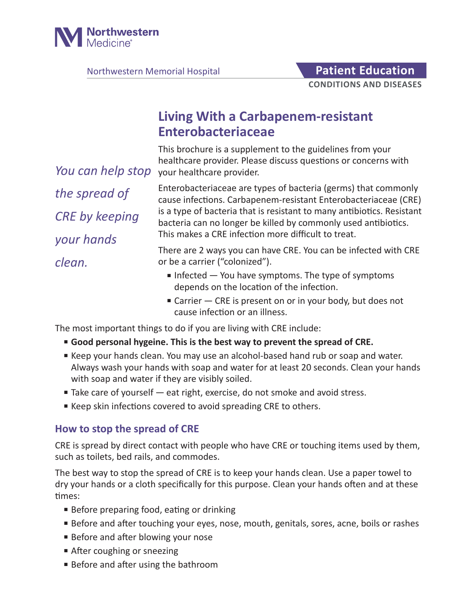

Northwestern Memorial Hospital **Patient Education** 

# **Living With a Carbapenem-resistant Enterobacteriaceae**

This brochure is a supplement to the guidelines from your healthcare provider. Please discuss questions or concerns with You can help stop your healthcare provider.

*the spread of CRE by keeping your hands clean.*

Enterobacteriaceae are types of bacteria (germs) that commonly cause infections. Carbapenem-resistant Enterobacteriaceae (CRE) is a type of bacteria that is resistant to many antibiotics. Resistant bacteria can no longer be killed by commonly used antibiotics. This makes a CRE infection more difficult to treat.

There are 2 ways you can have CRE. You can be infected with CRE or be a carrier ("colonized").

- $\blacksquare$  Infected  $\blacksquare$  You have symptoms. The type of symptoms depends on the location of the infection.
- Carrier CRE is present on or in your body, but does not cause infection or an illness.

The most important things to do if you are living with CRE include:

- **Good personal hygeine. This is the best way to prevent the spread of CRE.**
- Keep your hands clean. You may use an alcohol-based hand rub or soap and water. Always wash your hands with soap and water for at least 20 seconds. Clean your hands with soap and water if they are visibly soiled.
- Take care of yourself eat right, exercise, do not smoke and avoid stress.
- Keep skin infections covered to avoid spreading CRE to others.

### **How to stop the spread of CRE**

CRE is spread by direct contact with people who have CRE or touching items used by them, such as toilets, bed rails, and commodes.

The best way to stop the spread of CRE is to keep your hands clean. Use a paper towel to dry your hands or a cloth specifically for this purpose. Clean your hands often and at these times:

- Before preparing food, eating or drinking
- Before and after touching your eyes, nose, mouth, genitals, sores, acne, boils or rashes
- Before and after blowing your nose
- After coughing or sneezing
- Before and after using the bathroom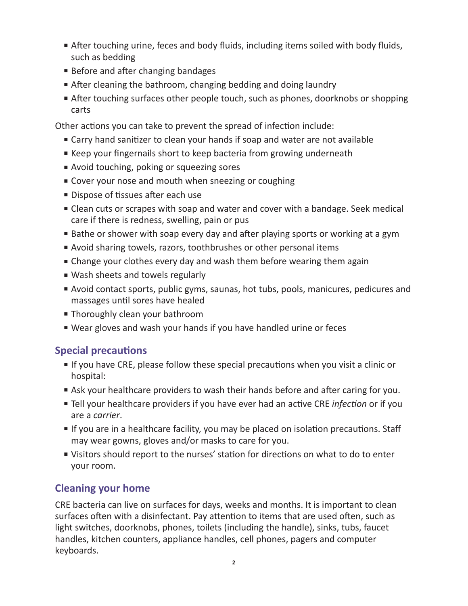- After touching urine, feces and body fluids, including items soiled with body fluids, such as bedding
- Before and after changing bandages
- After cleaning the bathroom, changing bedding and doing laundry
- After touching surfaces other people touch, such as phones, doorknobs or shopping carts

Other actions you can take to prevent the spread of infection include:

- Carry hand sanitizer to clean your hands if soap and water are not available
- Keep your fingernails short to keep bacteria from growing underneath
- Avoid touching, poking or squeezing sores
- Cover your nose and mouth when sneezing or coughing
- Dispose of tissues after each use
- Clean cuts or scrapes with soap and water and cover with a bandage. Seek medical care if there is redness, swelling, pain or pus
- Bathe or shower with soap every day and after playing sports or working at a gym
- Avoid sharing towels, razors, toothbrushes or other personal items
- Change your clothes every day and wash them before wearing them again
- Wash sheets and towels regularly
- Avoid contact sports, public gyms, saunas, hot tubs, pools, manicures, pedicures and massages until sores have healed
- Thoroughly clean your bathroom
- Wear gloves and wash your hands if you have handled urine or feces

## **Special precautions**

- If you have CRE, please follow these special precautions when you visit a clinic or hospital:
- Ask your healthcare providers to wash their hands before and after caring for you.
- Tell your healthcare providers if you have ever had an active CRE *infection* or if you are a *carrier*.
- If you are in a healthcare facility, you may be placed on isolation precautions. Staff may wear gowns, gloves and/or masks to care for you.
- Visitors should report to the nurses' station for directions on what to do to enter your room.

## **Cleaning your home**

CRE bacteria can live on surfaces for days, weeks and months. It is important to clean surfaces often with a disinfectant. Pay attention to items that are used often, such as light switches, doorknobs, phones, toilets (including the handle), sinks, tubs, faucet handles, kitchen counters, appliance handles, cell phones, pagers and computer keyboards.